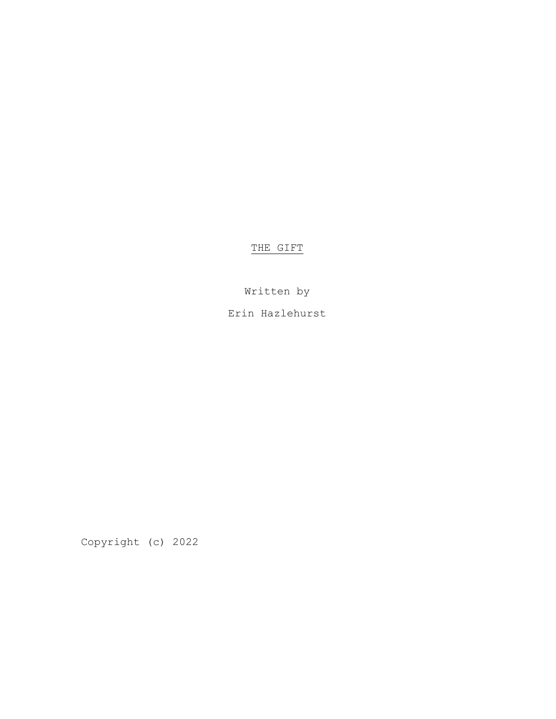THE GIFT

Written by

Erin Hazlehurst

Copyright (c) 2022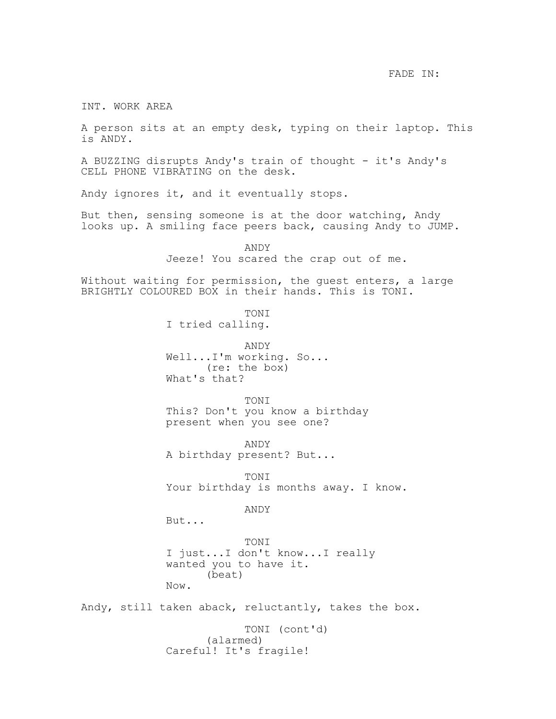FADE IN:

INT. WORK AREA

A person sits at an empty desk, typing on their laptop. This is ANDY.

A BUZZING disrupts Andy's train of thought - it's Andy's CELL PHONE VIBRATING on the desk.

Andy ignores it, and it eventually stops.

But then, sensing someone is at the door watching, Andy looks up. A smiling face peers back, causing Andy to JUMP.

> ANDY Jeeze! You scared the crap out of me.

Without waiting for permission, the guest enters, a large BRIGHTLY COLOURED BOX in their hands. This is TONI.

> TONI I tried calling.

ANDY Well...I'm working. So... (re: the box) What's that?

TONI This? Don't you know a birthday present when you see one?

ANDY A birthday present? But...

TONI Your birthday is months away. I know.

ANDY

But...

TONI I just...I don't know...I really wanted you to have it. (beat) Now.

Andy, still taken aback, reluctantly, takes the box.

TONI (cont'd) (alarmed) Careful! It's fragile!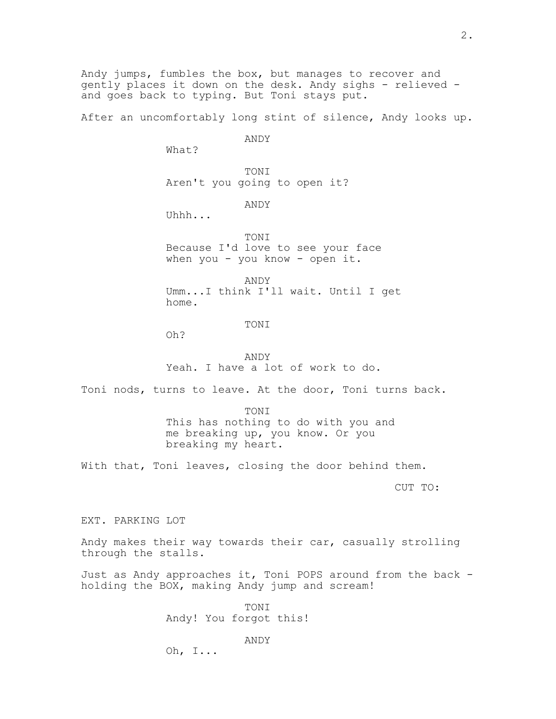Andy jumps, fumbles the box, but manages to recover and gently places it down on the desk. Andy sighs - relieved and goes back to typing. But Toni stays put.

After an uncomfortably long stint of silence, Andy looks up.

ANDY

What?

TONI Aren't you going to open it?

ANDY

Uhhh...

TONI Because I'd love to see your face when you - you know - open it.

ANDY Umm...I think I'll wait. Until I get home.

TONI

Oh?

ANDY Yeah. I have a lot of work to do.

Toni nods, turns to leave. At the door, Toni turns back.

TONI This has nothing to do with you and me breaking up, you know. Or you breaking my heart.

With that, Toni leaves, closing the door behind them.

CUT TO:

EXT. PARKING LOT

Andy makes their way towards their car, casually strolling through the stalls.

Just as Andy approaches it, Toni POPS around from the back holding the BOX, making Andy jump and scream!

> **TONT** Andy! You forgot this!

> > ANDY

Oh, I...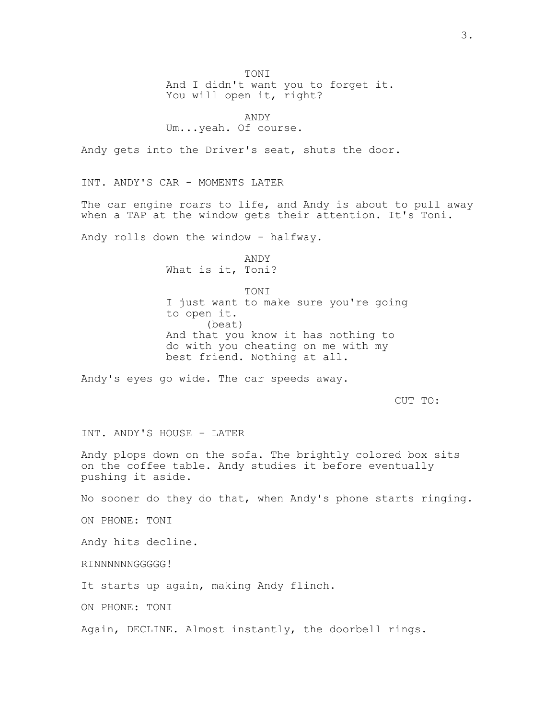TONI And I didn't want you to forget it. You will open it, right?

ANDY Um...yeah. Of course.

Andy gets into the Driver's seat, shuts the door.

INT. ANDY'S CAR - MOMENTS LATER

The car engine roars to life, and Andy is about to pull away when a TAP at the window gets their attention. It's Toni.

Andy rolls down the window - halfway.

ANDY What is it, Toni?

**TONT** I just want to make sure you're going to open it. (beat) And that you know it has nothing to do with you cheating on me with my best friend. Nothing at all.

Andy's eyes go wide. The car speeds away.

CUT TO:

INT. ANDY'S HOUSE - LATER

Andy plops down on the sofa. The brightly colored box sits on the coffee table. Andy studies it before eventually pushing it aside.

No sooner do they do that, when Andy's phone starts ringing.

ON PHONE: TONI

Andy hits decline.

RINNNNNNGGGGG!

It starts up again, making Andy flinch.

ON PHONE: TONI

Again, DECLINE. Almost instantly, the doorbell rings.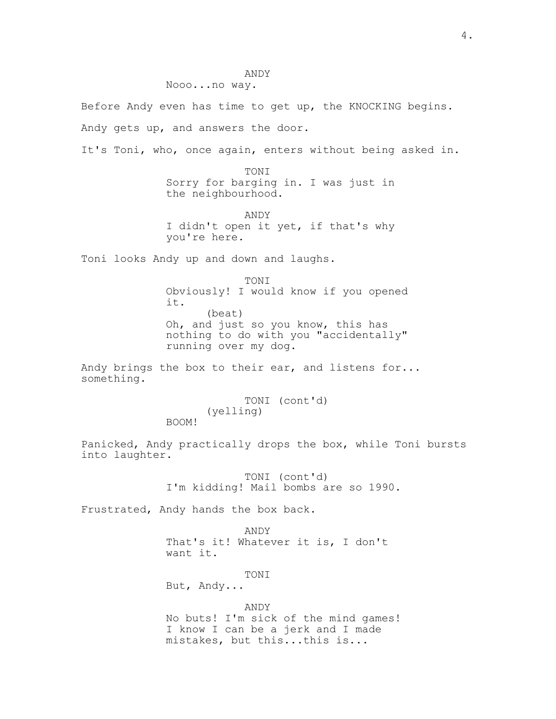ANDY

Nooo...no way.

Before Andy even has time to get up, the KNOCKING begins.

Andy gets up, and answers the door.

It's Toni, who, once again, enters without being asked in.

TONT Sorry for barging in. I was just in the neighbourhood.

ANDY I didn't open it yet, if that's why you're here.

Toni looks Andy up and down and laughs.

TONI Obviously! I would know if you opened it. (beat) Oh, and just so you know, this has nothing to do with you "accidentally" running over my dog.

Andy brings the box to their ear, and listens for... something.

> TONI (cont'd) (yelling)

BOOM!

Panicked, Andy practically drops the box, while Toni bursts into laughter.

> TONI (cont'd) I'm kidding! Mail bombs are so 1990.

Frustrated, Andy hands the box back.

ANDY That's it! Whatever it is, I don't want it.

TONI

But, Andy...

ANDY

No buts! I'm sick of the mind games! I know I can be a jerk and I made mistakes, but this...this is...